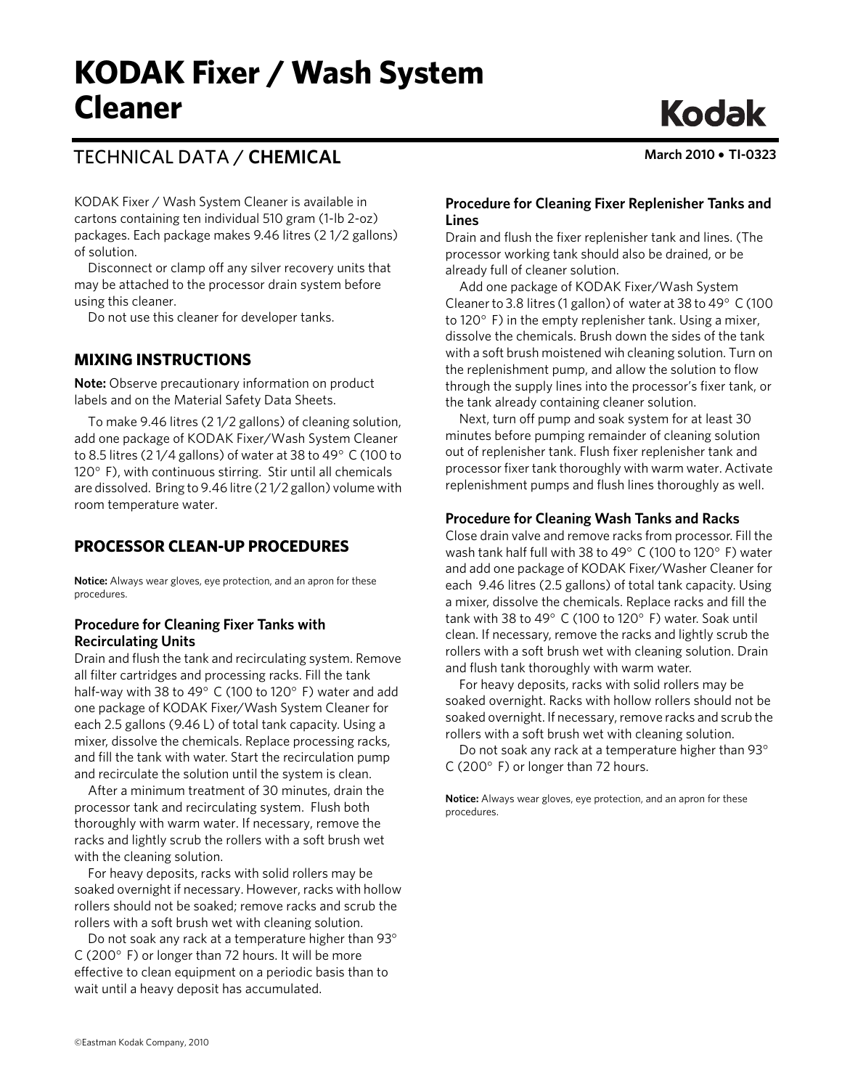# TECHNICAL DATA / **CHEMICAL March 2010** • **TI-0323**

**Kodak** 

KODAK Fixer / Wash System Cleaner is available in cartons containing ten individual 510 gram (1-lb 2-oz) packages. Each package makes 9.46 litres (2 1/2 gallons) of solution.

Disconnect or clamp off any silver recovery units that may be attached to the processor drain system before using this cleaner.

Do not use this cleaner for developer tanks.

### **MIXING INSTRUCTIONS**

**Note:** Observe precautionary information on product labels and on the Material Safety Data Sheets.

To make 9.46 litres (2 1/2 gallons) of cleaning solution, add one package of KODAK Fixer/Wash System Cleaner to 8.5 litres (2 1/4 gallons) of water at 38 to 49° C (100 to 120° F), with continuous stirring. Stir until all chemicals are dissolved. Bring to 9.46 litre (2 1/2 gallon) volume with room temperature water.

## **PROCESSOR CLEAN-UP PROCEDURES**

**Notice:** Always wear gloves, eye protection, and an apron for these procedures.

#### **Procedure for Cleaning Fixer Tanks with Recirculating Units**

Drain and flush the tank and recirculating system. Remove all filter cartridges and processing racks. Fill the tank half-way with 38 to 49° C (100 to 120° F) water and add one package of KODAK Fixer/Wash System Cleaner for each 2.5 gallons (9.46 L) of total tank capacity. Using a mixer, dissolve the chemicals. Replace processing racks, and fill the tank with water. Start the recirculation pump and recirculate the solution until the system is clean.

After a minimum treatment of 30 minutes, drain the processor tank and recirculating system. Flush both thoroughly with warm water. If necessary, remove the racks and lightly scrub the rollers with a soft brush wet with the cleaning solution.

For heavy deposits, racks with solid rollers may be soaked overnight if necessary. However, racks with hollow rollers should not be soaked; remove racks and scrub the rollers with a soft brush wet with cleaning solution.

Do not soak any rack at a temperature higher than 93° C (200° F) or longer than 72 hours. It will be more effective to clean equipment on a periodic basis than to wait until a heavy deposit has accumulated.

#### **Procedure for Cleaning Fixer Replenisher Tanks and Lines**

Drain and flush the fixer replenisher tank and lines. (The processor working tank should also be drained, or be already full of cleaner solution.

Add one package of KODAK Fixer/Wash System Cleaner to 3.8 litres (1 gallon) of water at 38 to 49° C (100 to 120° F) in the empty replenisher tank. Using a mixer, dissolve the chemicals. Brush down the sides of the tank with a soft brush moistened wih cleaning solution. Turn on the replenishment pump, and allow the solution to flow through the supply lines into the processor's fixer tank, or the tank already containing cleaner solution.

Next, turn off pump and soak system for at least 30 minutes before pumping remainder of cleaning solution out of replenisher tank. Flush fixer replenisher tank and processor fixer tank thoroughly with warm water. Activate replenishment pumps and flush lines thoroughly as well.

#### **Procedure for Cleaning Wash Tanks and Racks**

Close drain valve and remove racks from processor. Fill the wash tank half full with 38 to 49° C (100 to 120° F) water and add one package of KODAK Fixer/Washer Cleaner for each 9.46 litres (2.5 gallons) of total tank capacity. Using a mixer, dissolve the chemicals. Replace racks and fill the tank with 38 to 49° C (100 to 120° F) water. Soak until clean. If necessary, remove the racks and lightly scrub the rollers with a soft brush wet with cleaning solution. Drain and flush tank thoroughly with warm water.

For heavy deposits, racks with solid rollers may be soaked overnight. Racks with hollow rollers should not be soaked overnight. If necessary, remove racks and scrub the rollers with a soft brush wet with cleaning solution.

Do not soak any rack at a temperature higher than 93° C (200° F) or longer than 72 hours.

**Notice:** Always wear gloves, eye protection, and an apron for these procedures.